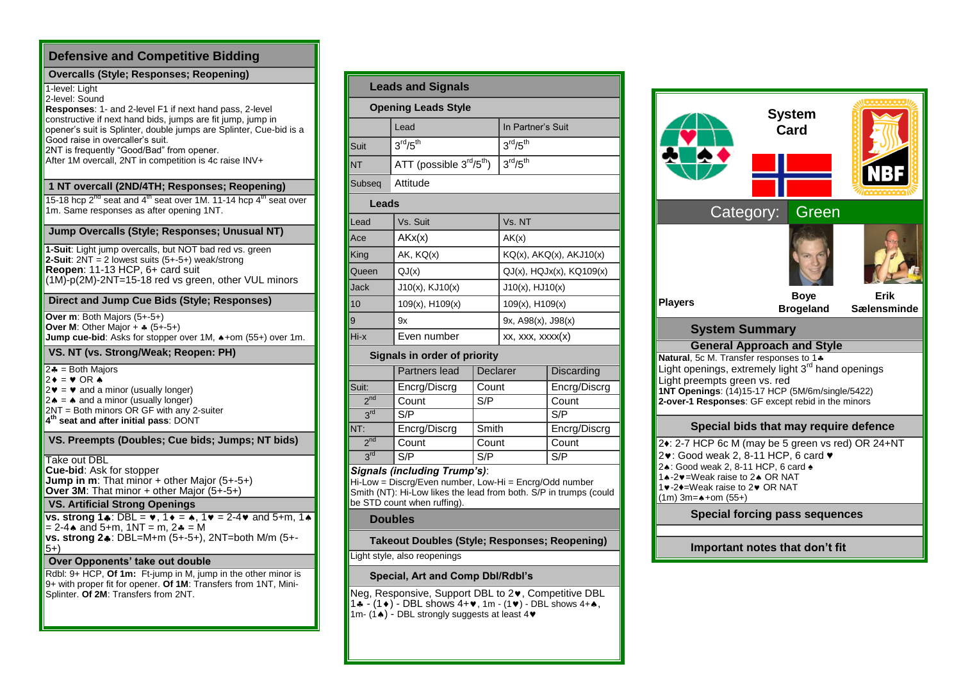| <b>Defensive and Competitive Bidding</b>                                                                                                                                                                                                                                                                                                                                           |  |  |  |  |  |  |  |
|------------------------------------------------------------------------------------------------------------------------------------------------------------------------------------------------------------------------------------------------------------------------------------------------------------------------------------------------------------------------------------|--|--|--|--|--|--|--|
| <b>Overcalls (Style; Responses; Reopening)</b>                                                                                                                                                                                                                                                                                                                                     |  |  |  |  |  |  |  |
| 1-level: Light<br>2-level: Sound<br><b>Responses: 1- and 2-level F1 if next hand pass, 2-level</b><br>constructive if next hand bids, jumps are fit jump, jump in<br>opener's suit is Splinter, double jumps are Splinter, Cue-bid is a<br>Good raise in overcaller's suit.<br>2NT is frequently "Good/Bad" from opener.<br>After 1M overcall, 2NT in competition is 4c raise INV+ |  |  |  |  |  |  |  |
| 1 NT overcall (2ND/4TH; Responses; Reopening)                                                                                                                                                                                                                                                                                                                                      |  |  |  |  |  |  |  |
| 15-18 hcp $2^{n\alpha}$ seat and 4 <sup>th</sup> seat over 1M. 11-14 hcp 4 <sup>th</sup> seat over<br>1m. Same responses as after opening 1NT.                                                                                                                                                                                                                                     |  |  |  |  |  |  |  |
| Jump Overcalls (Style; Responses; Unusual NT)                                                                                                                                                                                                                                                                                                                                      |  |  |  |  |  |  |  |
| 1-Suit: Light jump overcalls, but NOT bad red vs. green<br>2-Suit: $2NT = 2$ lowest suits $(5+.5+)$ weak/strong<br>Reopen: 11-13 HCP, 6+ card suit<br>(1M)-p(2M)-2NT=15-18 red vs green, other VUL minors                                                                                                                                                                          |  |  |  |  |  |  |  |
| Direct and Jump Cue Bids (Style; Responses)                                                                                                                                                                                                                                                                                                                                        |  |  |  |  |  |  |  |
| Over m: Both Majors (5+-5+)<br><b>Over M:</b> Other Major + $\ast$ (5+-5+)<br>Jump cue-bid: Asks for stopper over 1M, $\triangle +$ om (55+) over 1m.                                                                                                                                                                                                                              |  |  |  |  |  |  |  |
| VS. NT (vs. Strong/Weak; Reopen: PH)                                                                                                                                                                                                                                                                                                                                               |  |  |  |  |  |  |  |
| $2 - 1 = 2 + 2 = 2$<br>$2\blacklozenge = \blacktriangledown$ or a<br>$2\mathbf{v} = \mathbf{v}$ and a minor (usually longer)<br>$2 \triangleq$ = $\triangleq$ and a minor (usually longer)<br>2NT = Both minors OR GF with any 2-suiter<br>4 <sup>th</sup> seat and after initial pass: DONT                                                                                       |  |  |  |  |  |  |  |
| VS. Preempts (Doubles; Cue bids; Jumps; NT bids)                                                                                                                                                                                                                                                                                                                                   |  |  |  |  |  |  |  |
| Take out DBL<br>Cue-bid: Ask for stopper<br>Jump in m: That minor + other Major (5+-5+)<br>Over 3M: That minor + other Major $(5+.5+)$                                                                                                                                                                                                                                             |  |  |  |  |  |  |  |
| <b>VS. Artificial Strong Openings</b>                                                                                                                                                                                                                                                                                                                                              |  |  |  |  |  |  |  |
| vs. strong 1 $\clubsuit$ : DBL = $\triangledown$ , 1 $\triangledown$ = $\spadesuit$ , 1 $\triangledown$ = 2-4 $\triangledown$ and 5+m, 1 $\spadesuit$<br>$= 2 - 4$ and 5+m, 1NT = m, 2 $= M$<br>vs. strong 24: DBL=M+m (5+-5+), 2NT=both M/m (5+-<br>5+)                                                                                                                           |  |  |  |  |  |  |  |
| Over Opponents' take out double                                                                                                                                                                                                                                                                                                                                                    |  |  |  |  |  |  |  |
| Rdbl: 9+ HCP, Of 1m: Ft-jump in M, jump in the other minor is<br>9+ with proper fit for opener. Of 1M: Transfers from 1NT, Mini-<br>Splinter. Of 2M: Transfers from 2NT.                                                                                                                                                                                                           |  |  |  |  |  |  |  |
|                                                                                                                                                                                                                                                                                                                                                                                    |  |  |  |  |  |  |  |

| <b>Leads and Signals</b>                                                                                                                                                |                                                                                                                                                                                            |                 |                                  |                   |  |  |  |  |  |
|-------------------------------------------------------------------------------------------------------------------------------------------------------------------------|--------------------------------------------------------------------------------------------------------------------------------------------------------------------------------------------|-----------------|----------------------------------|-------------------|--|--|--|--|--|
| <b>Opening Leads Style</b>                                                                                                                                              |                                                                                                                                                                                            |                 |                                  |                   |  |  |  |  |  |
|                                                                                                                                                                         | Lead                                                                                                                                                                                       |                 | In Partner's Suit                |                   |  |  |  |  |  |
| Suit                                                                                                                                                                    | 3 <sup>rd</sup> /5 <sup>th</sup>                                                                                                                                                           |                 | 3 <sup>rd</sup> /5 <sup>th</sup> |                   |  |  |  |  |  |
| NT                                                                                                                                                                      | ATT (possible 3 <sup>rd</sup> /5 <sup>th</sup> )                                                                                                                                           |                 | 3 <sup>rd</sup> /5 <sup>th</sup> |                   |  |  |  |  |  |
| Subseg                                                                                                                                                                  | Attitude                                                                                                                                                                                   |                 |                                  |                   |  |  |  |  |  |
| Leads                                                                                                                                                                   |                                                                                                                                                                                            |                 |                                  |                   |  |  |  |  |  |
| Lead                                                                                                                                                                    | Vs. Suit                                                                                                                                                                                   |                 | Vs. NT                           |                   |  |  |  |  |  |
| Ace                                                                                                                                                                     | AKx(x)                                                                                                                                                                                     |                 | AK(x)                            |                   |  |  |  |  |  |
| King                                                                                                                                                                    | AK, KQ(x)                                                                                                                                                                                  |                 | KQ(x), AKQ(x), AKJ10(x)          |                   |  |  |  |  |  |
| Queen                                                                                                                                                                   | QJ(x)                                                                                                                                                                                      |                 | $QJ(x)$ , $HQJx(x)$ , $KQ109(x)$ |                   |  |  |  |  |  |
| Jack                                                                                                                                                                    | $J10(x)$ , $KJ10(x)$                                                                                                                                                                       |                 | $J10(x)$ , $HJ10(x)$             |                   |  |  |  |  |  |
| 10                                                                                                                                                                      | 109(x), H109(x)                                                                                                                                                                            |                 | $109(x)$ , H $109(x)$            |                   |  |  |  |  |  |
| 9                                                                                                                                                                       | 9x                                                                                                                                                                                         |                 | 9x, A98(x), J98(x)               |                   |  |  |  |  |  |
| Hi-x                                                                                                                                                                    | Even number                                                                                                                                                                                |                 | xx, xxx, xxxx(x)                 |                   |  |  |  |  |  |
|                                                                                                                                                                         | Signals in order of priority                                                                                                                                                               |                 |                                  |                   |  |  |  |  |  |
|                                                                                                                                                                         | Partners lead                                                                                                                                                                              | <b>Declarer</b> |                                  | <b>Discarding</b> |  |  |  |  |  |
| Suit:                                                                                                                                                                   | Encrg/Discrg                                                                                                                                                                               | Count           |                                  | Encrg/Discrg      |  |  |  |  |  |
| 2 <sup>nd</sup>                                                                                                                                                         | Count                                                                                                                                                                                      | S/P             |                                  | Count             |  |  |  |  |  |
| 3 <sup>rd</sup>                                                                                                                                                         | S/P                                                                                                                                                                                        |                 |                                  | S/P               |  |  |  |  |  |
| NT:                                                                                                                                                                     | Encrg/Discrg                                                                                                                                                                               | Smith           |                                  | Encrg/Discrg      |  |  |  |  |  |
| 2 <sup>nd</sup>                                                                                                                                                         | Count                                                                                                                                                                                      | Count           |                                  | Count             |  |  |  |  |  |
| 3 <sup>rd</sup>                                                                                                                                                         | S/P                                                                                                                                                                                        | S/P             |                                  | S/P               |  |  |  |  |  |
|                                                                                                                                                                         | Signals (including Trump's):<br>Hi-Low = Discrg/Even number, Low-Hi = Encrg/Odd number<br>Smith (NT): Hi-Low likes the lead from both. S/P in trumps (could<br>be STD count when ruffing). |                 |                                  |                   |  |  |  |  |  |
|                                                                                                                                                                         | <b>Doubles</b>                                                                                                                                                                             |                 |                                  |                   |  |  |  |  |  |
|                                                                                                                                                                         | Takeout Doubles (Style; Responses; Reopening)                                                                                                                                              |                 |                                  |                   |  |  |  |  |  |
|                                                                                                                                                                         | Light style, also reopenings                                                                                                                                                               |                 |                                  |                   |  |  |  |  |  |
| Special, Art and Comp Dbl/Rdbl's                                                                                                                                        |                                                                                                                                                                                            |                 |                                  |                   |  |  |  |  |  |
| Neg, Responsive, Support DBL to 2 <sup>.</sup> , Competitive DBL<br>1. [1+) - DBL shows 4+♥, 1m - (1♥) - DBL shows 4+A,<br>1m- (14) - DBL strongly suggests at least 4♥ |                                                                                                                                                                                            |                 |                                  |                   |  |  |  |  |  |

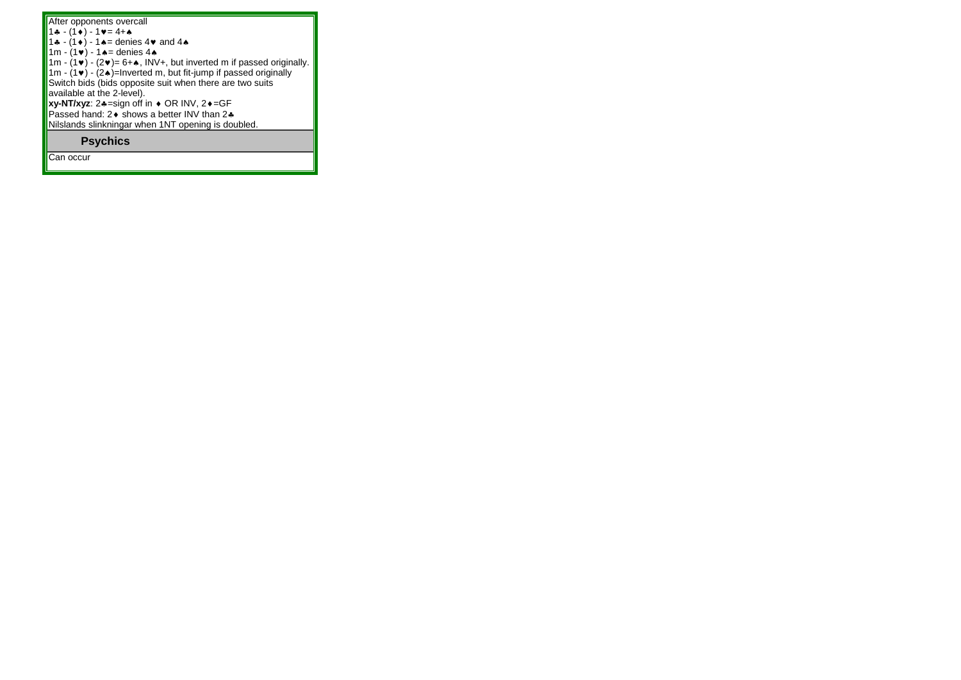| After opponents overcall                                                                 |
|------------------------------------------------------------------------------------------|
| $1 - (1) - 1 = 4 + 4$                                                                    |
| 1. $(1 \cdot ) - 1$ $\bullet =$ denies 4 $\bullet$ and 4 $\bullet$                       |
| 1m - $(1 \cdot ) - 1 \cdot =$ denies 4.                                                  |
| 1m - $(1\vee)$ - $(2\vee)$ = 6+ $\triangle$ , INV+, but inverted m if passed originally. |
| 1m - $(1\vee)$ - $(2\wedge)$ =Inverted m, but fit-jump if passed originally              |
| Switch bids (bids opposite suit when there are two suits                                 |
| available at the 2-level).                                                               |
| <b>xy-NT/xyz:</b> $2*-$ sign off in $\bullet$ OR INV, $2\bullet = GF$                    |
| Passed hand: 2♦ shows a better INV than 2♣                                               |
| Nilslands slinkningar when 1NT opening is doubled.                                       |
| <b>Psychics</b>                                                                          |

Can occur